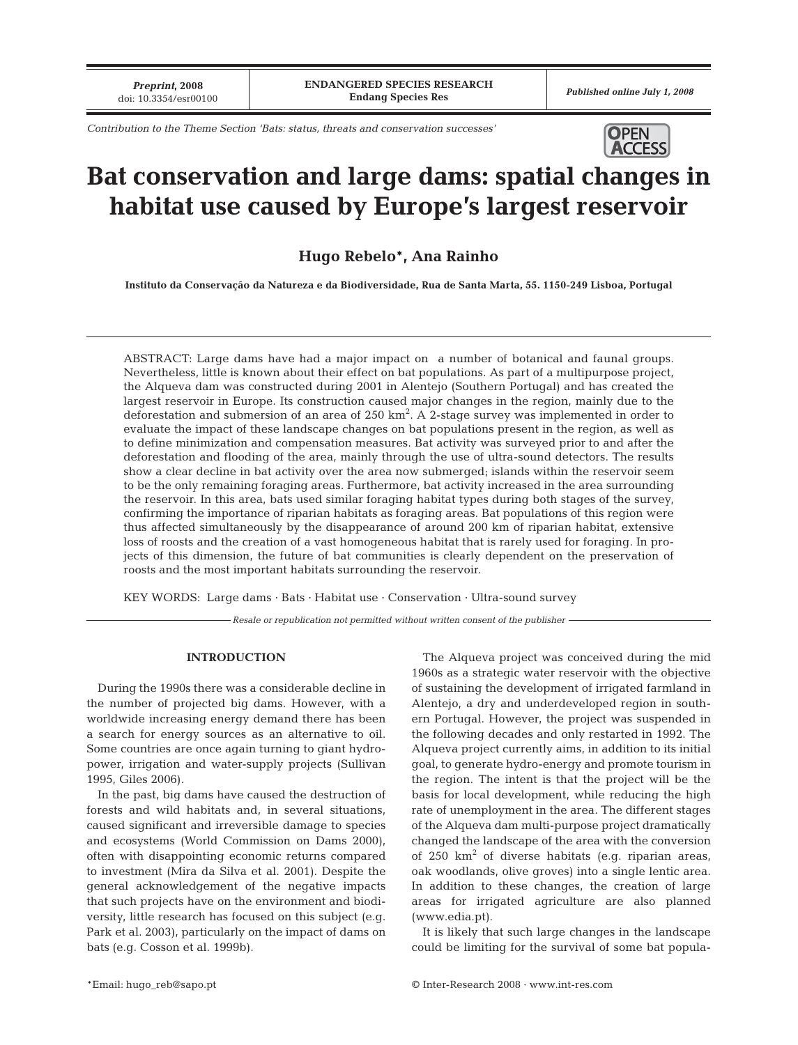*Contribution to the Theme Section 'Bats: status, threats and conservation successes'*



# **Bat conservation and large dams: spatial changes in habitat use caused by Europe's largest reservoir**

# **Hugo Rebelo\*, Ana Rainho**

**Instituto da Conservação da Natureza e da Biodiversidade, Rua de Santa Marta, 55. 1150-249 Lisboa, Portugal**

ABSTRACT: Large dams have had a major impact on a number of botanical and faunal groups. Nevertheless, little is known about their effect on bat populations. As part of a multipurpose project, the Alqueva dam was constructed during 2001 in Alentejo (Southern Portugal) and has created the largest reservoir in Europe. Its construction caused major changes in the region, mainly due to the deforestation and submersion of an area of 250 km². A 2-stage survey was implemented in order to evaluate the impact of these landscape changes on bat populations present in the region, as well as to define minimization and compensation measures. Bat activity was surveyed prior to and after the deforestation and flooding of the area, mainly through the use of ultra-sound detectors. The results show a clear decline in bat activity over the area now submerged; islands within the reservoir seem to be the only remaining foraging areas. Furthermore, bat activity increased in the area surrounding the reservoir. In this area, bats used similar foraging habitat types during both stages of the survey, confirming the importance of riparian habitats as foraging areas. Bat populations of this region were thus affected simultaneously by the disappearance of around 200 km of riparian habitat, extensive loss of roosts and the creation of a vast homogeneous habitat that is rarely used for foraging. In projects of this dimension, the future of bat communities is clearly dependent on the preservation of roosts and the most important habitats surrounding the reservoir.

KEY WORDS: Large dams · Bats · Habitat use · Conservation · Ultra-sound survey

*Resale or republication not permitted without written consent of the publisher*

#### **INTRODUCTION**

During the 1990s there was a considerable decline in the number of projected big dams. However, with a worldwide increasing energy demand there has been a search for energy sources as an alternative to oil. Some countries are once again turning to giant hydropower, irrigation and water-supply projects (Sullivan 1995, Giles 2006).

In the past, big dams have caused the destruction of forests and wild habitats and, in several situations, caused significant and irreversible damage to species and ecosystems (World Commission on Dams 2000), often with disappointing economic returns compared to investment (Mira da Silva et al. 2001). Despite the general acknowledgement of the negative impacts that such projects have on the environment and biodiversity, little research has focused on this subject (e.g. Park et al. 2003), particularly on the impact of dams on bats (e.g. Cosson et al. 1999b).

The Alqueva project was conceived during the mid 1960s as a strategic water reservoir with the objective of sustaining the development of irrigated farmland in Alentejo, a dry and underdeveloped region in southern Portugal. However, the project was suspended in the following decades and only restarted in 1992. The Alqueva project currently aims, in addition to its initial goal, to generate hydro-energy and promote tourism in the region. The intent is that the project will be the basis for local development, while reducing the high rate of unemployment in the area. The different stages of the Alqueva dam multi-purpose project dramatically changed the landscape of the area with the conversion of  $250 \text{ km}^2$  of diverse habitats (e.g. riparian areas, oak woodlands, olive groves) into a single lentic area. In addition to these changes, the creation of large areas for irrigated agriculture are also planned (www.edia.pt).

It is likely that such large changes in the landscape could be limiting for the survival of some bat popula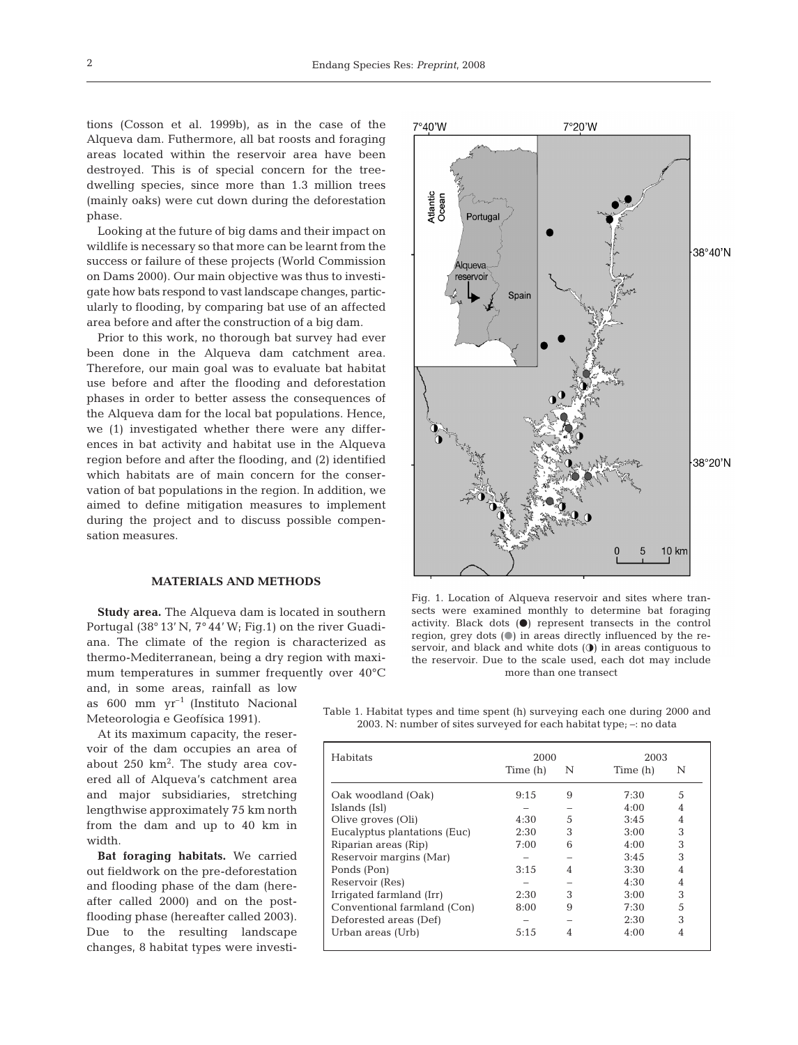tions (Cosson et al. 1999b), as in the case of the Alqueva dam. Futhermore, all bat roosts and foraging areas located within the reservoir area have been destroyed. This is of special concern for the treedwelling species, since more than 1.3 million trees (mainly oaks) were cut down during the deforestation phase.

Looking at the future of big dams and their impact on wildlife is necessary so that more can be learnt from the success or failure of these projects (World Commission on Dams 2000). Our main objective was thus to investigate how bats respond to vast landscape changes, particularly to flooding, by comparing bat use of an affected area before and after the construction of a big dam.

Prior to this work, no thorough bat survey had ever been done in the Alqueva dam catchment area. Therefore, our main goal was to evaluate bat habitat use before and after the flooding and deforestation phases in order to better assess the consequences of the Alqueva dam for the local bat populations. Hence, we (1) investigated whether there were any differences in bat activity and habitat use in the Alqueva region before and after the flooding, and (2) identified which habitats are of main concern for the conservation of bat populations in the region. In addition, we aimed to define mitigation measures to implement during the project and to discuss possible compensation measures.

#### **MATERIALS AND METHODS**

**Study area.** The Alqueva dam is located in southern Portugal (38° 13' N, 7° 44' W; Fig.1) on the river Guadiana. The climate of the region is characterized as thermo-Mediterranean, being a dry region with maximum temperatures in summer frequently over 40°C and, in some areas, rainfall as low

as  $600 \text{ mm yr}^{-1}$  (Instituto Nacional Meteorologia e Geofísica 1991).

At its maximum capacity, the reservoir of the dam occupies an area of about 250 km<sup>2</sup>. The study area covered all of Alqueva's catchment area and major subsidiaries, stretching lengthwise approximately 75 km north from the dam and up to 40 km in width.

**Bat foraging habitats.** We carried out fieldwork on the pre-deforestation and flooding phase of the dam (hereafter called 2000) and on the postflooding phase (hereafter called 2003). Due to the resulting landscape changes, 8 habitat types were investi-



Fig. 1. Location of Alqueva reservoir and sites where transects were examined monthly to determine bat foraging activity. Black dots  $(①)$  represent transects in the control region, grey dots  $($   $)$  in areas directly influenced by the reservoir, and black and white dots  $(①)$  in areas contiguous to the reservoir. Due to the scale used, each dot may include more than one transect

Table 1. Habitat types and time spent (h) surveying each one during 2000 and 2003. N: number of sites surveyed for each habitat type; –: no data

| <b>Habitats</b>              | 2000     |   | 2003     |   |  |
|------------------------------|----------|---|----------|---|--|
|                              | Time (h) | N | Time (h) | N |  |
| Oak woodland (Oak)           | 9:15     | 9 | 7:30     | 5 |  |
| Islands (Isl)                |          |   | 4:00     | 4 |  |
| Olive groves (Oli)           | 4:30     | 5 | 3:45     | 4 |  |
| Eucalyptus plantations (Euc) | 2:30     | 3 | 3:00     | 3 |  |
| Riparian areas (Rip)         | 7:00     | 6 | 4:00     | 3 |  |
| Reservoir margins (Mar)      |          |   | 3:45     | 3 |  |
| Ponds (Pon)                  | 3:15     |   | 3:30     | 4 |  |
| Reservoir (Res)              |          |   | 4:30     | 4 |  |
| Irrigated farmland (Irr)     | 2:30     | 3 | 3:00     | 3 |  |
| Conventional farmland (Con)  | 8:00     | 9 | 7:30     | 5 |  |
| Deforested areas (Def)       |          |   | 2:30     | 3 |  |
| Urban areas (Urb)            | 5:15     |   | 4:00     |   |  |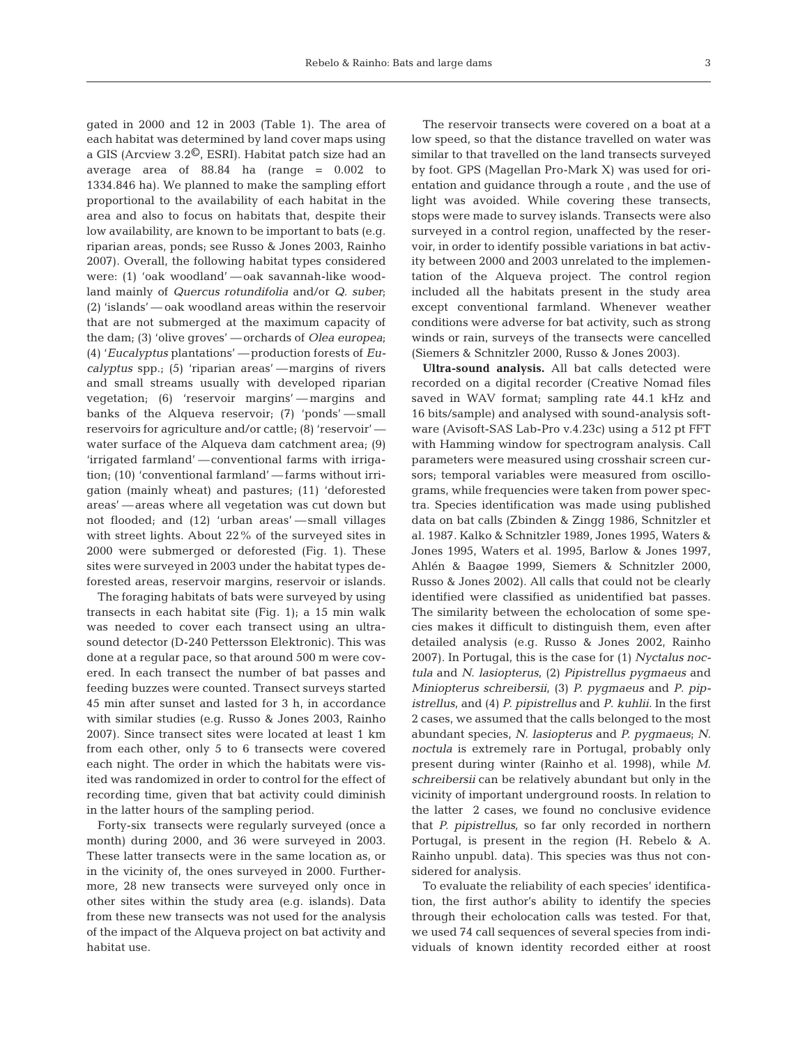gated in 2000 and 12 in 2003 (Table 1). The area of each habitat was determined by land cover maps using a GIS (Arcview 3.2©, ESRI). Habitat patch size had an average area of 88.84 ha (range = 0.002 to 1334.846 ha). We planned to make the sampling effort proportional to the availability of each habitat in the area and also to focus on habitats that, despite their low availability, are known to be important to bats (e.g. riparian areas, ponds; see Russo & Jones 2003, Rainho 2007). Overall, the following habitat types considered were: (1) 'oak woodland'*—* oak savannah-like woodland mainly of *Quercus rotundifolia* and/or *Q. suber*; (2) 'islands' — oak woodland areas within the reservoir that are not submerged at the maximum capacity of the dam; (3) 'olive groves'*—* orchards of *Olea europea*; (4) '*Eucalyptus* plantations'*—* production forests of *Eucalyptus* spp.; (5) 'riparian areas'*—* margins of rivers and small streams usually with developed riparian vegetation; (6) 'reservoir margins'*—* margins and banks of the Alqueva reservoir; (7) 'ponds'*—* small reservoirs for agriculture and/or cattle; (8) 'reservoir' water surface of the Alqueva dam catchment area; (9) 'irrigated farmland'*—* conventional farms with irrigation; (10) 'conventional farmland' — farms without irrigation (mainly wheat) and pastures; (11) 'deforested areas' *—* areas where all vegetation was cut down but not flooded; and (12) 'urban areas'*—* small villages with street lights. About 22% of the surveyed sites in 2000 were submerged or deforested (Fig. 1). These sites were surveyed in 2003 under the habitat types deforested areas, reservoir margins, reservoir or islands*.*

The foraging habitats of bats were surveyed by using transects in each habitat site (Fig. 1); a 15 min walk was needed to cover each transect using an ultrasound detector (D-240 Pettersson Elektronic). This was done at a regular pace, so that around 500 m were covered. In each transect the number of bat passes and feeding buzzes were counted. Transect surveys started 45 min after sunset and lasted for 3 h, in accordance with similar studies (e.g. Russo & Jones 2003, Rainho 2007). Since transect sites were located at least 1 km from each other, only 5 to 6 transects were covered each night. The order in which the habitats were visited was randomized in order to control for the effect of recording time, given that bat activity could diminish in the latter hours of the sampling period.

Forty-six transects were regularly surveyed (once a month) during 2000, and 36 were surveyed in 2003. These latter transects were in the same location as, or in the vicinity of, the ones surveyed in 2000. Furthermore, 28 new transects were surveyed only once in other sites within the study area (e.g. islands). Data from these new transects was not used for the analysis of the impact of the Alqueva project on bat activity and habitat use.

The reservoir transects were covered on a boat at a low speed, so that the distance travelled on water was similar to that travelled on the land transects surveyed by foot. GPS (Magellan Pro-Mark X) was used for orientation and guidance through a route , and the use of light was avoided. While covering these transects, stops were made to survey islands. Transects were also surveyed in a control region, unaffected by the reservoir, in order to identify possible variations in bat activity between 2000 and 2003 unrelated to the implementation of the Alqueva project. The control region included all the habitats present in the study area except conventional farmland. Whenever weather conditions were adverse for bat activity, such as strong winds or rain, surveys of the transects were cancelled (Siemers & Schnitzler 2000, Russo & Jones 2003).

**Ultra-sound analysis.** All bat calls detected were recorded on a digital recorder (Creative Nomad files saved in WAV format; sampling rate 44.1 kHz and 16 bits/sample) and analysed with sound-analysis software (Avisoft-SAS Lab-Pro v.4.23c) using a 512 pt FFT with Hamming window for spectrogram analysis. Call parameters were measured using crosshair screen cursors; temporal variables were measured from oscillograms, while frequencies were taken from power spectra. Species identification was made using published data on bat calls (Zbinden & Zingg 1986, Schnitzler et al. 1987. Kalko & Schnitzler 1989, Jones 1995, Waters & Jones 1995, Waters et al. 1995, Barlow & Jones 1997, Ahlén & Baagøe 1999, Siemers & Schnitzler 2000, Russo & Jones 2002). All calls that could not be clearly identified were classified as unidentified bat passes. The similarity between the echolocation of some species makes it difficult to distinguish them, even after detailed analysis (e.g. Russo & Jones 2002, Rainho 2007). In Portugal, this is the case for (1) *Nyctalus noctula* and *N*. *lasiopterus*, (2) *Pipistrellus pygmaeus* and *Miniopterus schreibersii*, (3) *P. pygmaeus* and *P*. *pipistrellus*, and (4) *P. pipistrellus* and *P*. *kuhlii.* In the first 2 cases, we assumed that the calls belonged to the most abundant species, *N. lasiopterus* and *P. pygmaeus*; *N. noctula* is extremely rare in Portugal, probably only present during winter (Rainho et al. 1998), while *M. schreibersii* can be relatively abundant but only in the vicinity of important underground roosts. In relation to the latter 2 cases, we found no conclusive evidence that *P. pipistrellus*, so far only recorded in northern Portugal, is present in the region (H. Rebelo & A. Rainho unpubl. data). This species was thus not considered for analysis.

To evaluate the reliability of each species' identification, the first author's ability to identify the species through their echolocation calls was tested. For that, we used 74 call sequences of several species from individuals of known identity recorded either at roost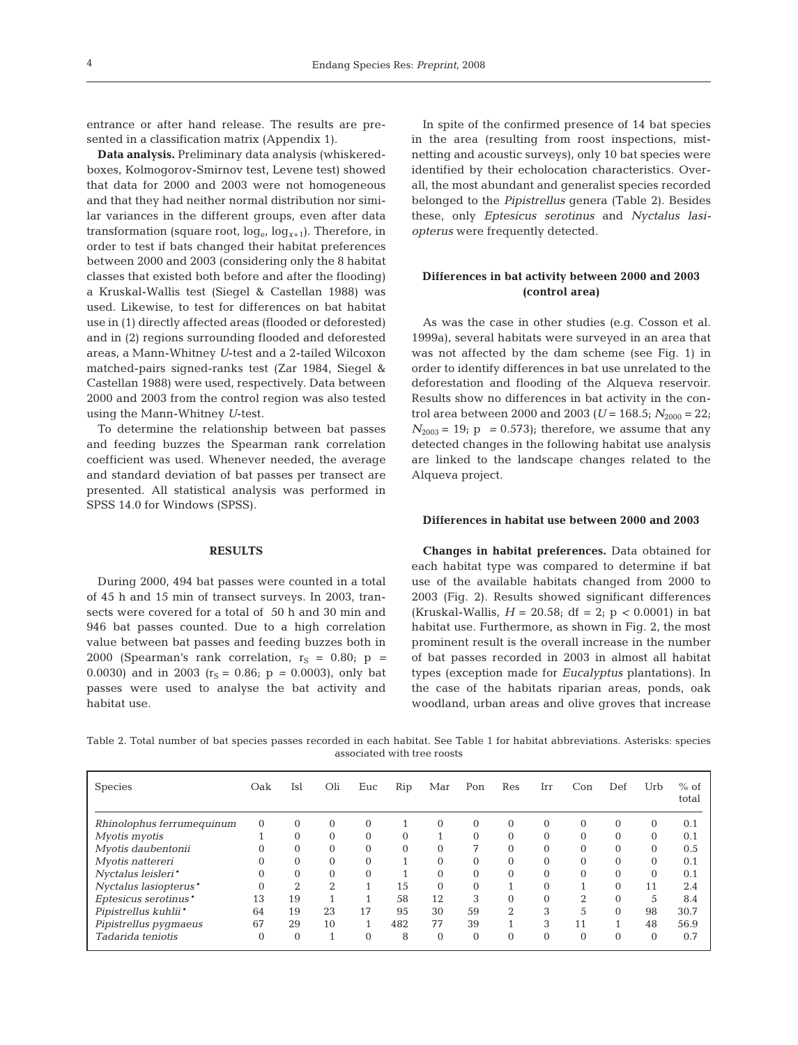entrance or after hand release. The results are presented in a classification matrix (Appendix 1).

**Data analysis.** Preliminary data analysis (whiskeredboxes, Kolmogorov-Smirnov test, Levene test) showed that data for 2000 and 2003 were not homogeneous and that they had neither normal distribution nor similar variances in the different groups, even after data transformation (square root,  $log_{e} log_{x+1}$ ). Therefore, in order to test if bats changed their habitat preferences between 2000 and 2003 (considering only the 8 habitat classes that existed both before and after the flooding) a Kruskal-Wallis test (Siegel & Castellan 1988) was used. Likewise, to test for differences on bat habitat use in (1) directly affected areas (flooded or deforested) and in (2) regions surrounding flooded and deforested areas, a Mann-Whitney *U*-test and a 2-tailed Wilcoxon matched-pairs signed-ranks test (Zar 1984, Siegel & Castellan 1988) were used, respectively. Data between 2000 and 2003 from the control region was also tested using the Mann-Whitney *U*-test.

To determine the relationship between bat passes and feeding buzzes the Spearman rank correlation coefficient was used. Whenever needed, the average and standard deviation of bat passes per transect are presented. All statistical analysis was performed in SPSS 14.0 for Windows (SPSS).

#### **RESULTS**

During 2000, 494 bat passes were counted in a total of 45 h and 15 min of transect surveys. In 2003, transects were covered for a total of 50 h and 30 min and 946 bat passes counted. Due to a high correlation value between bat passes and feeding buzzes both in 2000 (Spearman's rank correlation,  $r_S = 0.80$ ;  $p =$ 0.0030) and in 2003 ( $r_s = 0.86$ ;  $p = 0.0003$ ), only bat passes were used to analyse the bat activity and habitat use.

In spite of the confirmed presence of 14 bat species in the area (resulting from roost inspections, mistnetting and acoustic surveys), only 10 bat species were identified by their echolocation characteristics. Overall, the most abundant and generalist species recorded belonged to the *Pipistrellus* genera (Table 2). Besides these, only *Eptesicus serotinus* and *Nyctalus lasiopterus* were frequently detected.

# **Differences in bat activity between 2000 and 2003 (control area)**

As was the case in other studies (e.g. Cosson et al. 1999a), several habitats were surveyed in an area that was not affected by the dam scheme (see Fig. 1) in order to identify differences in bat use unrelated to the deforestation and flooding of the Alqueva reservoir. Results show no differences in bat activity in the control area between 2000 and 2003 ( $U = 168.5$ ;  $N_{2000} = 22$ ;  $N_{2003}$  = 19; p = 0.573); therefore, we assume that any detected changes in the following habitat use analysis are linked to the landscape changes related to the Alqueva project.

#### **Differences in habitat use between 2000 and 2003**

**Changes in habitat preferences.** Data obtained for each habitat type was compared to determine if bat use of the available habitats changed from 2000 to 2003 (Fig. 2). Results showed significant differences (Kruskal-Wallis, *H* = 20.58; df = 2; p *<* 0.0001) in bat habitat use. Furthermore, as shown in Fig. 2, the most prominent result is the overall increase in the number of bat passes recorded in 2003 in almost all habitat types (exception made for *Eucalyptus* plantations). In the case of the habitats riparian areas, ponds, oak woodland, urban areas and olive groves that increase

Table 2. Total number of bat species passes recorded in each habitat. See Table 1 for habitat abbreviations. Asterisks: species associated with tree roosts

| Species                   | Oak      | Isl      | Oli      | Euc      | Rip          | Mar          | Pon      | Res            | Irr      | Con            | Def            | Urb          | $%$ of<br>total |
|---------------------------|----------|----------|----------|----------|--------------|--------------|----------|----------------|----------|----------------|----------------|--------------|-----------------|
| Rhinolophus ferrumequinum | $\Omega$ | $\Omega$ | $\Omega$ | $\Omega$ |              | $\theta$     | $\Omega$ | $\Omega$       | $\Omega$ | $\Omega$       | $\Omega$       | $\mathbf{0}$ | 0.1             |
| Myotis myotis             |          | $\Omega$ | 0        | $\Omega$ | $\Omega$     |              | $\Omega$ | $\Omega$       | $\Omega$ | $\mathbf{0}$   | $\Omega$       | $\Omega$     | 0.1             |
| Myotis daubentonii        |          | $\Omega$ | 0        | $\Omega$ | $\mathbf{0}$ | $\mathbf{0}$ | 7        | $\Omega$       | $\Omega$ | $\mathbf{0}$   | $\overline{0}$ | $\mathbf{0}$ | 0.5             |
| Myotis nattereri          |          | $\Omega$ | 0        | $\Omega$ |              | $\theta$     | $\Omega$ | $\Omega$       | $\Omega$ | $\mathbf{0}$   | $\Omega$       | $\Omega$     | 0.1             |
| Nyctalus leisleri*        |          | $\Omega$ | 0        | $\Omega$ |              | $\Omega$     | $\Omega$ | $\Omega$       | $\Omega$ | $\Omega$       | $\Omega$       | $\Omega$     | 0.1             |
| Nyctalus lasiopterus*     | $\Omega$ | $\gamma$ | $\Omega$ |          | 15           | $\Omega$     | $\Omega$ |                | $\Omega$ |                | $\Omega$       | 11           | 2.4             |
| Eptesicus serotinus*      | 13       | 19       |          |          | 58           | 12           | 3        | $\theta$       |          | $\overline{2}$ | $\theta$       | 5            | 8.4             |
| Pipistrellus kuhlii*      | 64       | 19       | 23       | 17       | 95           | 30           | 59       | $\overline{2}$ | 3        | 5              | $\theta$       | 98           | 30.7            |
| Pipistrellus pygmaeus     | 67       | 29       | 10       |          | 482          | 77           | 39       |                | 3        | 11             |                | 48           | 56.9            |
| Tadarida teniotis         | $\Omega$ | $\Omega$ |          | $\Omega$ | 8            | $\Omega$     | $\Omega$ | $\Omega$       | $\Omega$ | $\Omega$       | $\Omega$       | $\Omega$     | 0.7             |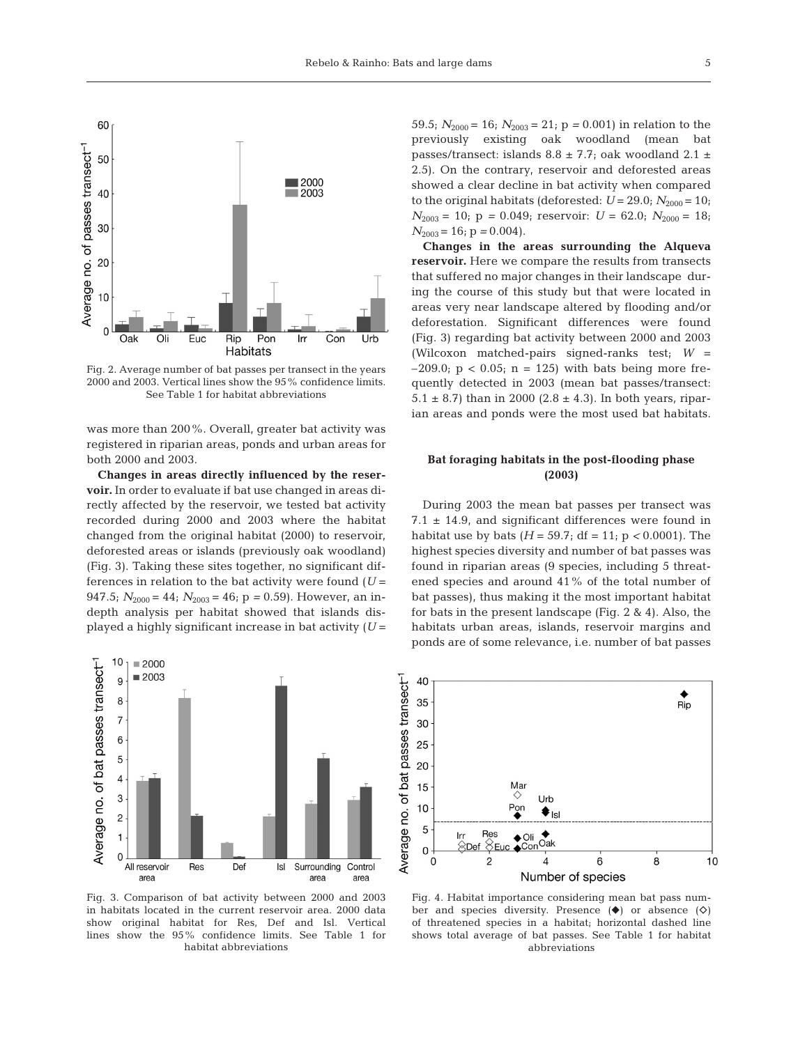

Fig. 2. Average number of bat passes per transect in the years 2000 and 2003. Vertical lines show the 95% confidence limits. See Table 1 for habitat abbreviations

was more than 200%. Overall, greater bat activity was registered in riparian areas, ponds and urban areas for both 2000 and 2003.

**Changes in areas directly influenced by the reservoir.** In order to evaluate if bat use changed in areas directly affected by the reservoir, we tested bat activity recorded during 2000 and 2003 where the habitat changed from the original habitat (2000) to reservoir, deforested areas or islands (previously oak woodland) (Fig. 3). Taking these sites together, no significant differences in relation to the bat activity were found  $(U =$ 947.5;  $N_{2000} = 44$ ;  $N_{2003} = 46$ ; p = 0.59). However, an indepth analysis per habitat showed that islands displayed a highly significant increase in bat activity (*U* =



Fig. 3. Comparison of bat activity between 2000 and 2003 in habitats located in the current reservoir area. 2000 data show original habitat for Res, Def and Isl. Vertical lines show the 95% confidence limits. See Table 1 for habitat abbreviations

59.5;  $N_{2000} = 16$ ;  $N_{2003} = 21$ ;  $p = 0.001$ ) in relation to the previously existing oak woodland (mean bat passes/transect: islands  $8.8 \pm 7.7$ ; oak woodland  $2.1 \pm$ 2.5). On the contrary, reservoir and deforested areas showed a clear decline in bat activity when compared to the original habitats (deforested:  $U = 29.0$ ;  $N_{2000} = 10$ ;  $N_{2003} = 10$ ;  $p = 0.049$ ; reservoir:  $U = 62.0$ ;  $N_{2000} = 18$ ;  $N_{2003}$  = 16; p = 0.004).

**Changes in the areas surrounding the Alqueva reservoir.** Here we compare the results from transects that suffered no major changes in their landscape during the course of this study but that were located in areas very near landscape altered by flooding and/or deforestation. Significant differences were found (Fig. 3) regarding bat activity between 2000 and 2003 (Wilcoxon matched-pairs signed-ranks test; *W* =  $-209.0$ ;  $p < 0.05$ ;  $n = 125$ ) with bats being more frequently detected in 2003 (mean bat passes/transect: 5.1  $\pm$  8.7) than in 2000 (2.8  $\pm$  4.3). In both years, riparian areas and ponds were the most used bat habitats.

## **Bat foraging habitats in the post-flooding phase (2003)**

During 2003 the mean bat passes per transect was 7.1  $\pm$  14.9, and significant differences were found in habitat use by bats  $(H = 59.7; df = 11; p < 0.0001)$ . The highest species diversity and number of bat passes was found in riparian areas (9 species, including 5 threatened species and around 41% of the total number of bat passes), thus making it the most important habitat for bats in the present landscape (Fig. 2 & 4). Also, the habitats urban areas, islands, reservoir margins and ponds are of some relevance, i.e. number of bat passes



Fig. 4. Habitat importance considering mean bat pass number and species diversity. Presence  $(\diamond)$  or absence  $(\diamond)$ of threatened species in a habitat; horizontal dashed line shows total average of bat passes. See Table 1 for habitat abbreviations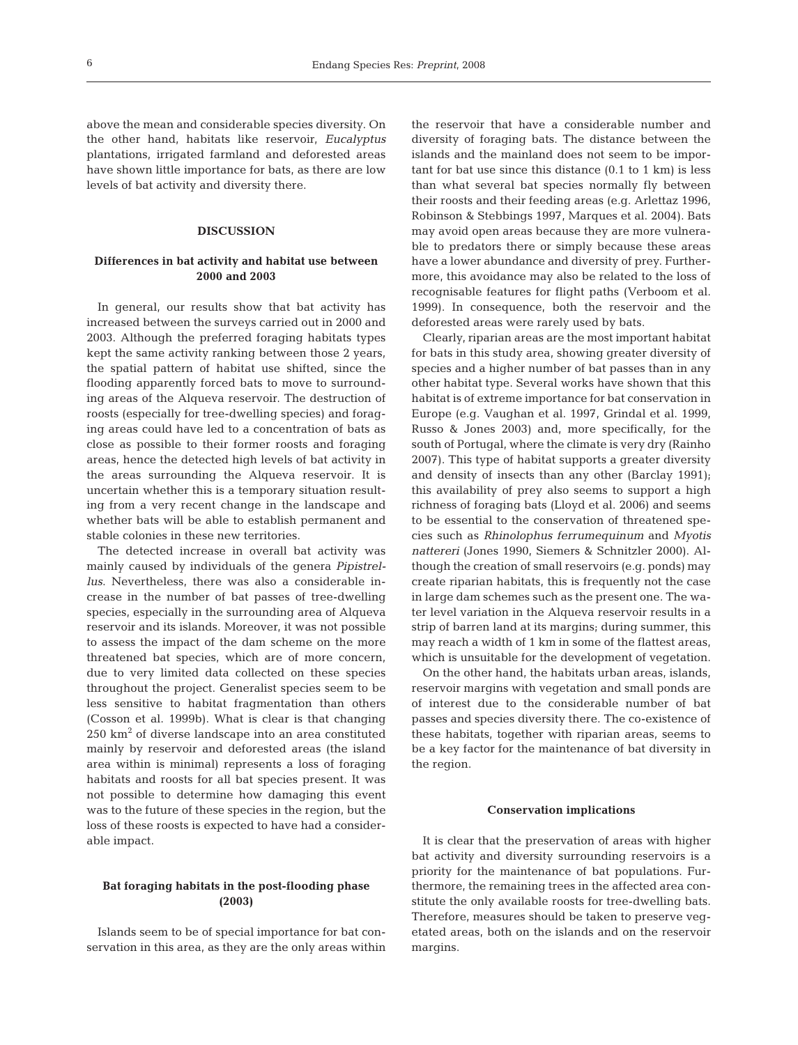above the mean and considerable species diversity. On the other hand, habitats like reservoir, *Eucalyptus* plantations, irrigated farmland and deforested areas have shown little importance for bats, as there are low levels of bat activity and diversity there.

## **DISCUSSION**

## **Differences in bat activity and habitat use between 2000 and 2003**

In general, our results show that bat activity has increased between the surveys carried out in 2000 and 2003. Although the preferred foraging habitats types kept the same activity ranking between those 2 years, the spatial pattern of habitat use shifted, since the flooding apparently forced bats to move to surrounding areas of the Alqueva reservoir. The destruction of roosts (especially for tree-dwelling species) and foraging areas could have led to a concentration of bats as close as possible to their former roosts and foraging areas, hence the detected high levels of bat activity in the areas surrounding the Alqueva reservoir. It is uncertain whether this is a temporary situation resulting from a very recent change in the landscape and whether bats will be able to establish permanent and stable colonies in these new territories.

The detected increase in overall bat activity was mainly caused by individuals of the genera *Pipistrellus*. Nevertheless, there was also a considerable increase in the number of bat passes of tree-dwelling species, especially in the surrounding area of Alqueva reservoir and its islands. Moreover, it was not possible to assess the impact of the dam scheme on the more threatened bat species, which are of more concern, due to very limited data collected on these species throughout the project. Generalist species seem to be less sensitive to habitat fragmentation than others (Cosson et al. 1999b). What is clear is that changing 250 km2 of diverse landscape into an area constituted mainly by reservoir and deforested areas (the island area within is minimal) represents a loss of foraging habitats and roosts for all bat species present. It was not possible to determine how damaging this event was to the future of these species in the region, but the loss of these roosts is expected to have had a considerable impact.

## **Bat foraging habitats in the post-flooding phase (2003)**

Islands seem to be of special importance for bat conservation in this area, as they are the only areas within the reservoir that have a considerable number and diversity of foraging bats. The distance between the islands and the mainland does not seem to be important for bat use since this distance (0.1 to 1 km) is less than what several bat species normally fly between their roosts and their feeding areas (e.g. Arlettaz 1996, Robinson & Stebbings 1997, Marques et al. 2004). Bats may avoid open areas because they are more vulnerable to predators there or simply because these areas have a lower abundance and diversity of prey. Furthermore, this avoidance may also be related to the loss of recognisable features for flight paths (Verboom et al. 1999). In consequence, both the reservoir and the deforested areas were rarely used by bats.

Clearly, riparian areas are the most important habitat for bats in this study area, showing greater diversity of species and a higher number of bat passes than in any other habitat type. Several works have shown that this habitat is of extreme importance for bat conservation in Europe (e.g. Vaughan et al. 1997, Grindal et al. 1999, Russo & Jones 2003) and, more specifically, for the south of Portugal, where the climate is very dry (Rainho 2007). This type of habitat supports a greater diversity and density of insects than any other (Barclay 1991); this availability of prey also seems to support a high richness of foraging bats (Lloyd et al. 2006) and seems to be essential to the conservation of threatened species such as *Rhinolophus ferrumequinum* and *Myotis nattereri* (Jones 1990, Siemers & Schnitzler 2000). Although the creation of small reservoirs (e.g. ponds) may create riparian habitats, this is frequently not the case in large dam schemes such as the present one. The water level variation in the Alqueva reservoir results in a strip of barren land at its margins; during summer, this may reach a width of 1 km in some of the flattest areas, which is unsuitable for the development of vegetation.

On the other hand, the habitats urban areas, islands, reservoir margins with vegetation and small ponds are of interest due to the considerable number of bat passes and species diversity there. The co-existence of these habitats, together with riparian areas, seems to be a key factor for the maintenance of bat diversity in the region.

#### **Conservation implications**

It is clear that the preservation of areas with higher bat activity and diversity surrounding reservoirs is a priority for the maintenance of bat populations. Furthermore, the remaining trees in the affected area constitute the only available roosts for tree-dwelling bats. Therefore, measures should be taken to preserve vegetated areas, both on the islands and on the reservoir margins.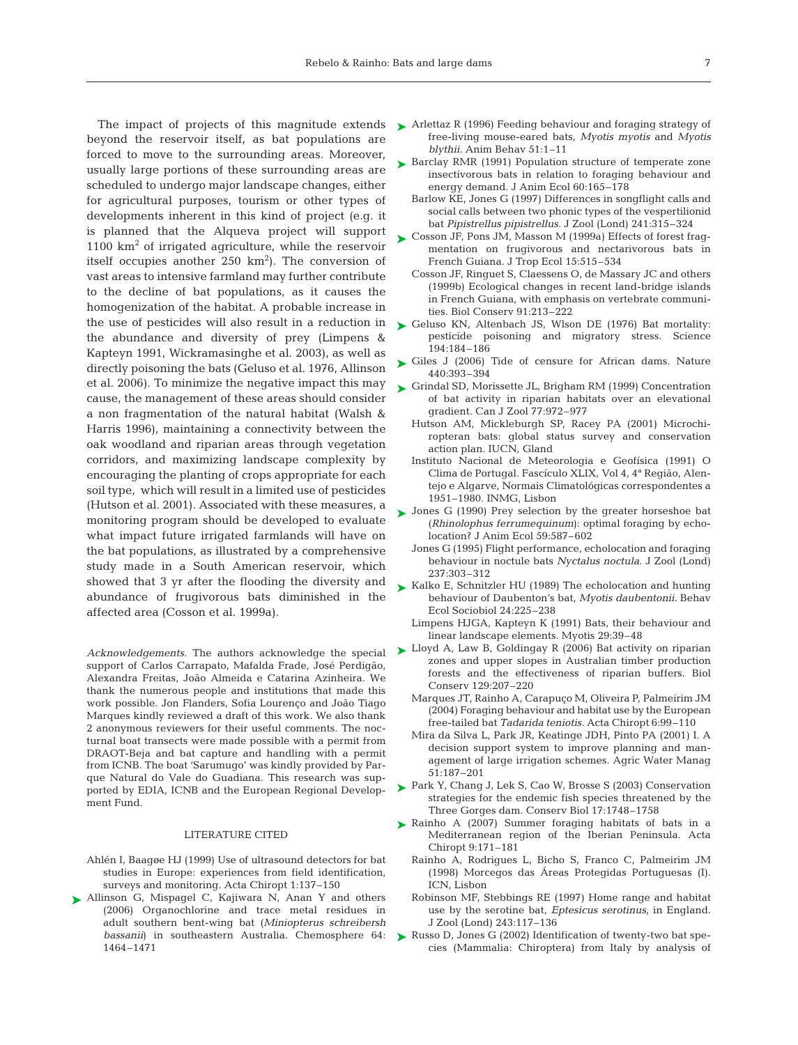beyond the reservoir itself, as bat populations are forced to move to the surrounding areas. Moreover, usually large portions of these surrounding areas are scheduled to undergo major landscape changes, either for agricultural purposes, tourism or other types of developments inherent in this kind of project (e.g. it is planned that the Alqueva project will support  $1100 \text{ km}^2$  of irrigated agriculture, while the reservoir itself occupies another  $250 \text{ km}^2$ ). The conversion of vast areas to intensive farmland may further contribute to the decline of bat populations, as it causes the homogenization of the habitat. A probable increase in the use of pesticides will also result in a reduction in the abundance and diversity of prey (Limpens & Kapteyn 1991, Wickramasinghe et al. 2003), as well as directly poisoning the bats (Geluso et al. 1976, Allinson et al. 2006). To minimize the negative impact this may cause, the management of these areas should consider a non fragmentation of the natural habitat (Walsh & Harris 1996), maintaining a connectivity between the oak woodland and riparian areas through vegetation corridors, and maximizing landscape complexity by encouraging the planting of crops appropriate for each soil type, which will result in a limited use of pesticides (Hutson et al. 2001). Associated with these measures, a monitoring program should be developed to evaluate what impact future irrigated farmlands will have on the bat populations, as illustrated by a comprehensive study made in a South American reservoir, which showed that 3 yr after the flooding the diversity and abundance of frugivorous bats diminished in the affected area (Cosson et al. 1999a).

*Acknowledgements.* The authors acknowledge the special support of Carlos Carrapato, Mafalda Frade, José Perdigão, Alexandra Freitas, João Almeida e Catarina Azinheira. We thank the numerous people and institutions that made this work possible. Jon Flanders, Sofia Lourenço and João Tiago Marques kindly reviewed a draft of this work. We also thank 2 anonymous reviewers for their useful comments. The nocturnal boat transects were made possible with a permit from DRAOT-Beja and bat capture and handling with a permit from ICNB. The boat 'Sarumugo' was kindly provided by Parque Natural do Vale do Guadiana. This research was supported by EDIA, ICNB and the European Regional Development Fund.

#### LITERATURE CITED

- Ahlén I, Baagøe HJ (1999) Use of ultrasound detectors for bat studies in Europe: experiences from field identification, surveys and monitoring. Acta Chiropt 1:137–150
- ▶ Allinson G, Mispagel C, Kajiwara N, Anan Y and others (2006) Organochlorine and trace metal residues in adult southern bent-wing bat (*Miniopterus schreibersh bassanii*) in southeastern Australia. Chemosphere 64: 1464–1471
- The impact of projects of this magnitude extends Arlettaz R (1996) Feeding behaviour and foraging strategy of free-living mouse-eared bats, *Myotis myotis* and *Myotis blythii.* Anim Behav 51:1–11
	- ► Barclay RMR (1991) Population structure of temperate zone insectivorous bats in relation to foraging behaviour and energy demand. J Anim Ecol 60:165–178
		- Barlow KE, Jones G (1997) Differences in songflight calls and social calls between two phonic types of the vespertilionid bat *Pipistrellus pipistrellus.* J Zool (Lond) 241:315–324
	- Cosson JF, Pons JM, Masson M (1999a) Effects of forest frag-➤ mentation on frugivorous and nectarivorous bats in French Guiana. J Trop Ecol 15:515–534
		- Cosson JF, Ringuet S, Claessens O, de Massary JC and others (1999b) Ecological changes in recent land-bridge islands in French Guiana, with emphasis on vertebrate communities. Biol Conserv 91:213–222
	- ► Geluso KN, Altenbach JS, Wlson DE (1976) Bat mortality: pesticide poisoning and migratory stress. Science 194:184–186
	- ► Giles J (2006) Tide of censure for African dams. Nature 440:393–394
	- ► Grindal SD, Morissette JL, Brigham RM (1999) Concentration of bat activity in riparian habitats over an elevational gradient. Can J Zool 77:972–977
		- Hutson AM, Mickleburgh SP, Racey PA (2001) Microchiropteran bats: global status survey and conservation action plan. IUCN, Gland
		- Instituto Nacional de Meteorologia e Geofísica (1991) O Clima de Portugal. Fascículo XLIX, Vol 4, 4ª Região, Alentejo e Algarve, Normais Climatológicas correspondentes a 1951–1980. INMG, Lisbon
	- ▶ Jones G (1990) Prey selection by the greater horseshoe bat (*Rhinolophus ferrumequinum*): optimal foraging by echolocation? J Anim Ecol 59:587–602
		- Jones G (1995) Flight performance, echolocation and foraging behaviour in noctule bats *Nyctalus noctula.* J Zool (Lond) 237:303–312
	- ► Kalko E, Schnitzler HU (1989) The echolocation and hunting behaviour of Daubenton's bat, *Myotis daubentonii.* Behav Ecol Sociobiol 24:225–238
		- Limpens HJGA, Kapteyn K (1991) Bats, their behaviour and linear landscape elements. Myotis 29:39–48
	- ► Lloyd A, Law B, Goldingay R (2006) Bat activity on riparian zones and upper slopes in Australian timber production forests and the effectiveness of riparian buffers. Biol Conserv 129:207–220
		- Marques JT, Rainho A, Carapuço M, Oliveira P, Palmeirim JM (2004) Foraging behaviour and habitat use by the European free-tailed bat *Tadarida teniotis.* Acta Chiropt 6:99–110
		- Mira da Silva L, Park JR, Keatinge JDH, Pinto PA (2001) I. A decision support system to improve planning and management of large irrigation schemes. Agric Water Manag 51:187–201
	- ▶ Park Y, Chang J, Lek S, Cao W, Brosse S (2003) Conservation strategies for the endemic fish species threatened by the Three Gorges dam. Conserv Biol 17:1748–1758
	- ▶ Rainho A (2007) Summer foraging habitats of bats in a Mediterranean region of the Iberian Peninsula. Acta Chiropt 9:171–181
		- Rainho A, Rodrigues L, Bicho S, Franco C, Palmeirim JM (1998) Morcegos das Áreas Protegidas Portuguesas (I). ICN, Lisbon
		- Robinson MF, Stebbings RE (1997) Home range and habitat use by the serotine bat, *Eptesicus serotinus*, in England. J Zool (Lond) 243:117–136
	- Russo D, Jones G (2002) Identification of twenty-two bat species (Mammalia: Chiroptera) from Italy by analysis of ➤